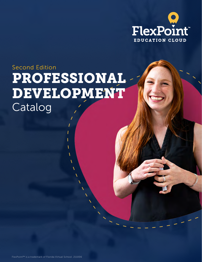

# PROFESSIONAL DEVELOPMENT Catalog Second Edition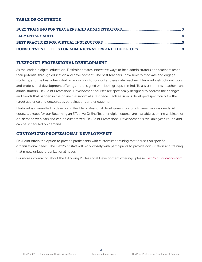# TABLE OF CONTENTS

# FLEXPOINT PROFESSIONAL DEVELOPMENT

As the leader in digital education, FlexPoint creates innovative ways to help administrators and teachers reach their potential through education and development. The best teachers know how to motivate and engage students, and the best administrators know how to support and evaluate teachers. FlexPoint instructional tools and professional development offerings are designed with both groups in mind. To assist students, teachers, and administrators, FlexPoint Professional Development courses are specifically designed to address the changes and trends that happen in the online classroom at a fast pace. Each session is developed specifically for the target audience and encourages participations and engagement.

FlexPoint is committed to developing flexible professional development options to meet various needs. All courses, except for our Becoming an Effective Online Teacher digital course, are available as online webinars or on-demand webinars and can be customized. FlexPoint Professional Development is available year-round and can be scheduled on demand.

# CUSTOMIZED PROFESSIONAL DEVELOPMENT

FlexPoint offers the option to provide participants with customized training that focuses on specific organizational needs. The FlexPoint staff will work closely with participants to provide consultation and training that meets unique organizational needs.

For more information about the following Professional Development offerings, please **[FlexPointEducation.com.](http://FlexPointEducation.com.)** 

 $\mathfrak{D}$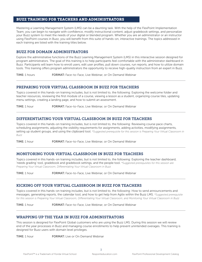## <span id="page-2-0"></span>BUZZ TRAINING FOR TEACHERS AND ADMINISTRATORS

Mastering a Learning Management System (LMS) can be a daunting task. With the help of the FlexPoint Implementation Team, you can begin to navigate with confidence, modify instructional content, adjust gradebook settings, and personalize your Buzz system to meet the needs of your digital or blended program. Whether you are an administrator or an instructor using FlexPoint courses in Buzz, you will benefit from this suite of hands-on, interactive trainings. The topics addressed in each training are listed with the training titles below.

# BUZZ FOR DOMAIN ADMINISTRATORS

Explore the administrative functions of the Buzz Learning Management System (LMS) in this interactive session designed for program administrators. The goal of this training is to help participants feel comfortable with the administrator dashboard in Buzz. Participants will learn how to enroll users, edit user profiles, pull down courses, run reports, and how to utilize domain tools. This training offers program administrators the opportunity to receive high-quality instruction from an expert in Buzz.

TIME: 1 hours **FORMAT:** Face-to-Face, Live Webinar, or On Demand Webinar

## PREPARING YOUR VIRTUAL CLASSROOM IN BUZZ FOR TEACHERS

Topics covered in this hands-on training includes, but is not limited to, the following: Exploring the welcome folder and teacher resources, reviewing the first module of a course, viewing a lesson as a student, organizing course tiles, updating menu settings, creating a landing page, and how to submit an assessment.

TIME: 1 hour **FORMAT:** Face-to-Face, Live Webinar, or On Demand Webinar

## DIFFERENTIATING YOUR VIRTUAL CLASSROOM IN BUZZ FOR TEACHERS

Topics covered in this hands-on training includes, but is not limited to, the following: Reviewing course pace charts, scheduling assignments, adjusting the visibility requirements for assignments, adding activities, modifying assignments, setting up student groups, and using the clipboard tool. *\*Suggested prerequisite for this session is Preparing Your Virtual Classroom in Buzz*

TIME: 1 hour **FORMAT:** Face-to-Face, Live Webinar, or On Demand Webinar

#### MONITORING YOUR VIRTUAL CLASSROOM IN BUZZ FOR TEACHERS

Topics covered in this hands-on training includes, but is not limited to, the following: Exploring the teacher dashboard, 'needs grading' tool, gradebook and gradebook settings, and the people tool. *\*Suggested prerequisites for this session are Preparing Your Virtual Classroom, Differentiating Your Virtual Classroom in Buzz*

TIME: 1 hour **FORMAT:** Face-to-Face, Live Webinar, or On Demand Webinar

## KICKING OFF YOUR VIRTUAL CLASSROOM IN BUZZ FOR TEACHERS

Topics covered in this hands-on training includes, but is not limited to, the following: How to send announcements and messages, generating reports, the calendar tool, and how to get help from Agilix within the Buzz LMS. *\*Suggested prerequisite for this session is Preparing Your Virtual Classroom, Differentiating Your Virtual Classroom, and Monitoring Your Virtual Classroom in Buzz*

TIME: 1 hour **FORMAT:** Face-to-Face, Live Webinar, or On Demand Webinar

### WRAPPING UP THE YEAR IN BUZZ FOR ADMINISTRATORS

This session is designed for FlexPoint Global customers who are using the Buzz LMS. During this session we will review end of the year processes in Buzz and managing course enrollments to help prevent unintended overages. This training is designed for Buzz users with domain level privileges.

TIME: 1 hour FORMAT: Live or On Demand Webinar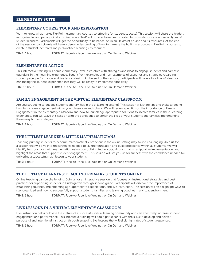## <span id="page-3-0"></span>ELEMENTARY SUITE

## ELEMENTARY COURSE TOUR AND EXPLORATION

Want to know what makes FlexPoint elementary courses so effective for student success? This session will share the hidden, recognizable, and pedagogically inspired ways FlexPoint courses have been created to promote success across all types of student learners. Participants will get the opportunity to be hands-on in an FlexPoint course and its resources. At the end of the session, participants will have a deep understanding of how to harness the built in-resources in FlexPoint courses to create a student-centered and personalized learning environment.

TIME: 1 hour **FORMAT:** Face-to-Face, Live Webinar, or On Demand Webinar

## ELEMENTARY IN ACTION

This interactive training will equip elementary-level instructors with strategies and ideas to engage students and parents/ guardians in their learning experience. Benefit from examples and non-examples of scenarios and strategies regarding student pace, performance and live lesson design. At the end of the session, participants will have a tool box of ideas for enhancing the student-experience that they will be ready to implement right away.

TIME: 1 hour **FORMAT:** Face-to-Face, Live Webinar, or On Demand Webinar

# FAMILY ENGAGEMENT IN THE VIRTUAL ELEMENTARY CLASSROOM

Are you struggling to engage students and families in the e-learning setting? This session will share tips and tricks targeting how to increase engagement within your classroom and school. We will review specifics on the importance of Family Engagement in the elementary classroom and how to launch age appropriate solutions to involve families in the e-learning experience. You will leave this session with the confidence to enrich the lives of your students and families implementing these easy to use strategies.

TIME: 1 hour **FORMAT:** Face-to-Face, Live Webinar, or On Demand Webinar

# THE LITTLEST LEARNERS: LITTLE MATHEMATICIANS

Teaching primary students to become mathematically proficient in the online setting may sound challenging! Join us for a session that will dive into the strategies needed to lay the foundation and build proficiency within all students. We will identify best practices with mathematics instruction utilizing technology, discuss math manipulative implementation, and highlight the areas that support student engagement. This session will set you up for success with the confidence needed for delivering a successful math lesson to your students!

TIME: 1 hour **FORMAT:** Face-to-Face, Live Webinar, or On Demand Webinar

#### THE LITTLEST LEARNERS: TEACHING PRIMARY STUDENTS ONLINE

Online teaching can be challenging. Join us for an interactive session that focuses on instructional strategies and best practices for supporting students in kindergarten through second grade. Participants will discover the importance of establishing routines, implementing age-appropriate expectations, and live instruction. The session will also highlight ways to stay organized and how to successfully support students, families, and learning coaches in a virtual environment.

TIME: 1 hour **FORMAT:** Face-to-Face, Live Webinar, or On Demand Webinar

## LIVE LESSONS IN A VIRTUAL ELEMENTARY CLASSROOM

Live instruction helps cultivate the culture of a successful virtual learning community and can effectively increase student engagement and performance. This interactive training will equip participants with the skills to develop and deliver purposeful and intentional instruction through engaging live lessons that will elicit high rates of student responses.

TIME: 1 hour **FORMAT:** Face-to-Face, Live Webinar, or On Demand Webinar

 $\Delta$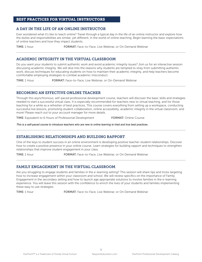## <span id="page-4-0"></span>BEST PRACTICES FOR VIRTUAL INSTRUCTORS

## A DAY IN THE LIFE OF AN ONLINE INSTRUCTOR

Ever wondered what it's like to teach online? Travel through a typical day in the life of an online instructor and explore how the duties and responsibilities are similar, yet different, in the world of online teaching. Begin learning the basic expectations of online teachers and how they impact students.

**TIME:** 1 hour **FORMAT:** Face-to-Face, Live Webinar, or On Demand Webinar

# ACADEMIC INTEGRITY IN THE VIRTUAL CLASSROOM

Do you want your students to submit authentic work and avoid academic integrity issues? Join us for an interactive session discussing academic integrity. We will dive into the reasons why students are tempted to stray from submitting authentic work, discuss techniques for educating students on how to maintain their academic integrity, and help teachers become comfortable employing strategies to combat academic misconduct.

TIME: 1 Hour FORMAT: Face-to-Face, Live Webinar, or On-Demand Webinar

# BECOMING AN EFFECTIVE ONLINE TEACHER

Through this asynchronous, self-paced professional development course, teachers will discover the basic skills and strategies needed to start a successful virtual class. It is especially recommended for teachers new to virtual teaching, and for those teaching for a while as a refresher of best practices. This course covers everything from setting up a workspace, conducting successful live lessons, promoting student collaboration, online accessibility, academic integrity in the virtual classroom, and more! Please reach out to your account manager for more details.

TIME: Equivalent to 6 Hours of Professional Development FORMAT: Online Course

*This is a self-paced course to introduce teachers who are new to online learning to tried and true best practices.*

## ESTABLISHING RELATIONSHIPS AND BUILDING RAPPORT

One of the keys to student success in an online environment is developing positive teacher-student relationships. Discover how to create a positive presence in your online course. Learn strategies for building rapport and techniques to strengthen relationships that improve student engagement in your class.

TIME: 1 hour **FORMAT:** Face-to-Face, Live Webinar, or On Demand Webinar

# FAMILY ENGAGEMENT IN THE VIRTUAL CLASSROOM

Are you struggling to engage students and families in the e-learning setting? This session will share tips and tricks targeting how to increase engagement within your classroom and school. We will review specifics on the importance of Family Engagement in the secondary setting and how to launch age appropriate solutions to involve families in the e-learning experience. You will leave this session with the confidence to enrich the lives of your students and families implementing these easy to use strategies.

TIME: 1 hour FORMAT: Face-to-Face, Live Webinar, or On Demand Webinar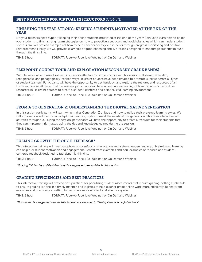#### BEST PRACTICES FOR VIRTUAL INSTRUCTORS (CONT'D)

## FINISHING THE YEAR STRONG: KEEPING STUDENTS MOTIVATED AT THE END OF THE YEAR

Do your teachers need support keeping their online students motivated at the end of the year? Join us to learn how to coach your students to finish strong. Learn strategies on how to proactively set goals and avoid obstacles which can hinder student success. We will provide examples of how to be a cheerleader to your students through progress monitoring and positive reinforcement. Finally, we will provide examples of good coaching and live lessons designed to encourage students to push through the finish line.

TIME: 1 hour **FORMAT:** Face-to-Face, Live Webinar, or On Demand Webinar

# FLEXPOINT COURSE TOUR AND EXPLORATION (SECONDARY GRADE BANDS)

Want to know what makes FlexPoint courses so effective for student success? This session will share the hidden, recognizable, and pedagogically inspired ways FlexPoint courses have been created to promote success across all types of student learners. Participants will have the opportunity to get hands on and explore the features and resources of an FlexPoint course. At the end of the session, participants will have a deep understanding of how to harness the built inresources in FlexPoint courses to create a student-centered and personalized learning environment.

TIME: 1 hour **FORMAT:** Face-to-Face, Live Webinar, or On Demand Webinar

# FROM A TO GENERATION Z: UNDERSTANDING THE DIGITAL NATIVE GENERATION

In this session participants will learn what makes Generation Z unique and how to utilize their preferred learning styles. We will explore how educators can adapt their teaching styles to meet the needs of this generation. This is an interactive with activities throughout. During the session, participants will have the opportunity to create a resource for their students that they can implement right away using the tips and knowledge gained during the session.

TIME: 1 hour FORMAT: Face-to-Face, Live Webinar, or On Demand Webinar

## FUELING GROWTH THROUGH FEEDBACK\*

This interactive training will investigate how purposeful communication and a strong understanding of brain-based learning can help fuel student motivation and engagement. Benefit from examples and non-examples of focused and studentcentered feedback designed to fuel dynamic thinking.

TIME: 1 hour **FORMAT:** Face-to-Face, Live Webinar, or On Demand Webinar

\*"Grading Efficiencies and Best Practices" is a suggested pre-requisite for this session.

## GRADING EFFICIENCIES AND BEST PRACTICES

This interactive training will provide best practices for prioritizing student assessments that require grading, setting a schedule to ensure grading is done in a timely manner, and logistics to help teacher grade online work more efficiently. Benefit from examples and practice goal setting to become a more efficient and effective grader.

TIME: 1 hour FORMAT: Face-to-Face, Live Webinar, or On Demand Webinar

\*This session is a suggested pre-requisite for teachers interested in "Fueling Growth through Feedback"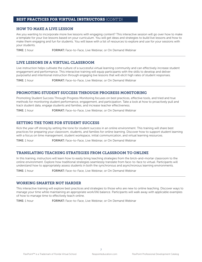#### BEST PRACTICES FOR VIRTUAL INSTRUCTORS (CONT'D)

## HOW TO MAKE A LIVE LESSON

Are you wanting to incorporate more live lessons with engaging content? This interactive session will go over how to make a template for your live lessons based on your curriculum. You will get ideas and strategies to build live lessons and how to make them engaging and fun for students. You will leave with a list of resources to explore and use for your sessions with your students.

TIME: 1 hour **FORMAT:** Face-to-Face, Live Webinar, or On Demand Webinar

# LIVE LESSONS IN A VIRTUAL CLASSROOM

Live instruction helps cultivate the culture of a successful virtual learning community and can effectively increase student engagement and performance. This interactive training will equip participants with the skills to develop and deliver purposeful and intentional instruction through engaging live lessons that will elicit high rates of student responses.

TIME: 1 hour **FORMAT:** Face-to-Face, Live Webinar, or On Demand Webinar

# PROMOTING STUDENT SUCCESS THROUGH PROGRESS MONITORING

Promoting Student Success Through Progress Monitoring focuses on best practices, effective tools, and tried and true methods for monitoring student performance, engagement, and participation. Take a look at how to proactively pull and track student data, engage students and families, and increase teacher effectiveness.

TIME: 1 hour **FORMAT:** Face-to-Face, Live Webinar, or On Demand Webinar

## SETTING THE TONE FOR STUDENT SUCCESS

Kick the year off strong by setting the tone for student success in an online environment. This training will share best practices for preparing your classroom, students, and families for online learning. Discover how to support student learning with a focus on time management, student workspace, initial communication, and virtual learning resources.

TIME: 1 hour **FORMAT:** Face-to-Face, Live Webinar, or On Demand Webinar

## TRANSLATING TEACHING STRATEGIES FROM CLASSROOM TO ONLINE

In this training, instructors will learn how to easily bring teaching strategies from the brick-and-mortar classroom to the online environment. Explore how traditional strategies seamlessly translate from face-to-face to virtual. Participants will understand how to appropriately assess students in both the synchronous and asynchronous learning environments.

TIME: 1 hour **FORMAT:** Face-to-Face, Live Webinar, or On Demand Webinar

#### WORKING SMARTER NOT HARDER

This interactive training will explore best practices and strategies to those who are new to online teaching. Discover ways to manage your time while maintaining an appropriate work/life balance. Participants will walk away with applicable examples of how to manage time to effectively teach online.

TIME: 1 hour **FORMAT:** Face-to-Face, Live Webinar, or On Demand Webinar